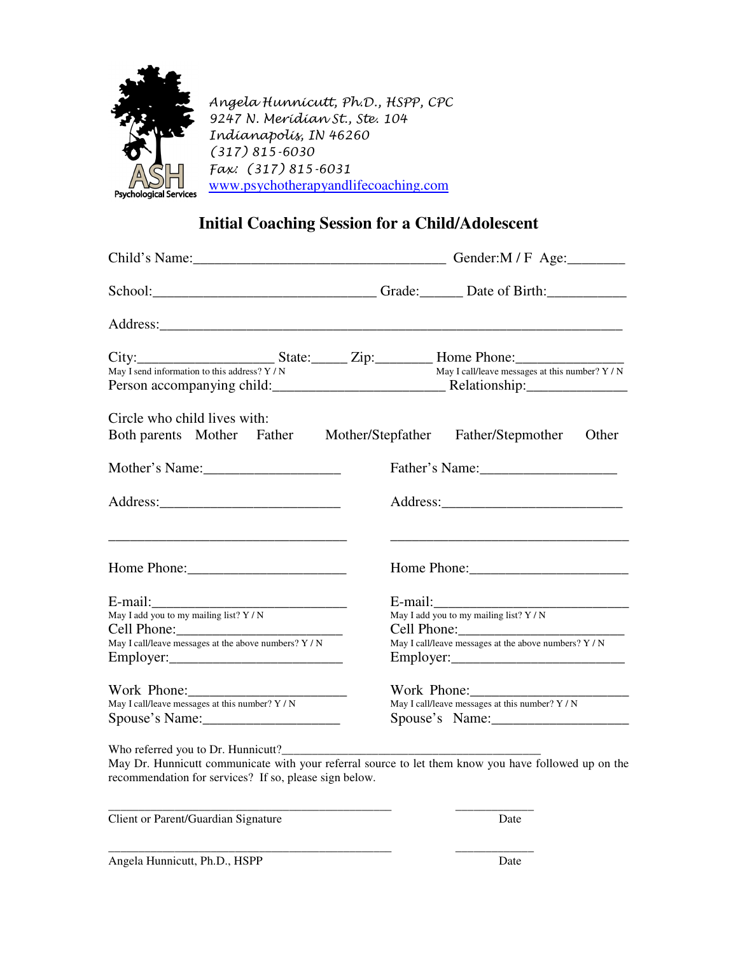

Angela Hunnicutt, Ph.D., HSPP, CPC 9247 N. Meridian St., Ste. 104 Indianapolis, IN 46260 (317) 815-6030 Fax: (317) 815-6031 www.psychotherapyandlifecoaching.com

## **Initial Coaching Session for a Child/Adolescent**

|                                                                              | School: Change Contains Containing Contact Contains Containing Contact Contains Contains Containing Contact Contains Contains Contains Contains Contains Contains Contains Contains Contains Contains Contains Contains Contai |
|------------------------------------------------------------------------------|--------------------------------------------------------------------------------------------------------------------------------------------------------------------------------------------------------------------------------|
|                                                                              |                                                                                                                                                                                                                                |
|                                                                              | City: State: Zip: Home Phone: May I call/leave messages at this number? Y/N<br>May I send information to this address? Y/N<br>May I call/leave messages at this number? Y/N<br>May I call/leave messages at this number? Y / N |
| Circle who child lives with:<br>Both parents Mother Father Mother/Stepfather | Father/Stepmother<br>Other                                                                                                                                                                                                     |
| Mother's Name:                                                               |                                                                                                                                                                                                                                |
|                                                                              |                                                                                                                                                                                                                                |
|                                                                              | <u> 1989 - Andrea Stadt Britain, amerikansk politiker (d. 1989)</u>                                                                                                                                                            |
|                                                                              |                                                                                                                                                                                                                                |
| May I add you to my mailing list? Y / N                                      | May I add you to my mailing list? Y / N                                                                                                                                                                                        |
| May I call/leave messages at the above numbers? $\overline{Y}$ / N           | May I call/leave messages at the above numbers? $\overline{Y/N}$                                                                                                                                                               |
|                                                                              |                                                                                                                                                                                                                                |
| Work Phone: 2008                                                             | Work Phone: 2008                                                                                                                                                                                                               |
| May I call/leave messages at this number? Y / N<br>Spouse's Name:            | May I call/leave messages at this number? Y / N<br>Spouse's Name:                                                                                                                                                              |
| Who referred you to Dr. Hunnicutt?_________                                  | May De Hypniquit communicate with your referred course to let them know you have followed up on the                                                                                                                            |

May Dr. Hunnicutt communicate with your referral source to let them know you have followed up on the recommendation for services? If so, please sign below.

\_\_\_\_\_\_\_\_\_\_\_\_\_\_\_\_\_\_\_\_\_\_\_\_\_\_\_\_\_\_\_\_\_\_\_\_\_\_\_\_\_\_\_\_\_\_\_ \_\_\_\_\_\_\_\_\_\_\_\_\_

Client or Parent/Guardian Signature Date

\_\_\_\_\_\_\_\_\_\_\_\_\_\_\_\_\_\_\_\_\_\_\_\_\_\_\_\_\_\_\_\_\_\_\_\_\_\_\_\_\_\_\_\_\_\_\_ \_\_\_\_\_\_\_\_\_\_\_\_\_

Angela Hunnicutt, Ph.D., HSPP Date